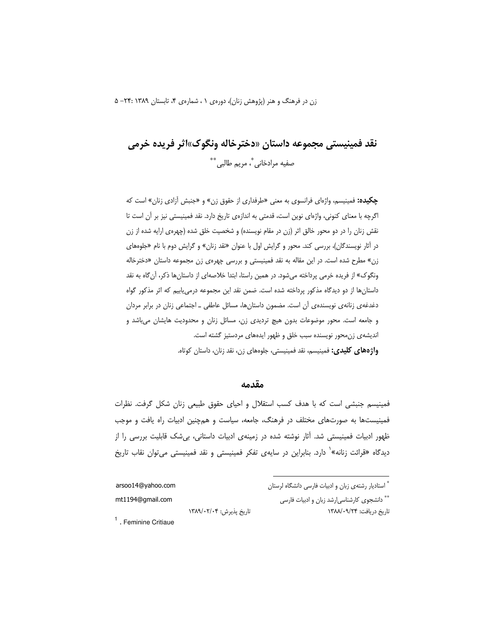زن در فرهنگ و هنر (پژوهش زنان)، دورهی ۰ ، شمارهی ۴، تابستان ۱۳۸۹ :۲۴- ۵

# نقد فمينيستي مجموعه داستان «دخترخاله ونگوک»اثر فريده خرمي صفيه مرادخاني ؓ، مريم طالبي ٌ \*\*

چکیده: فمینیسم، واژهای فرانسوی به معنی «طرفداری از حقوق زن» و «جنبش آزادی زنان» است که اگرچه با معنای کنونی، واژهای نوین است، قدمتی به اندازهی تاریخ دارد. نقد فمینیستی نیز بر آن است تا نقش زنان را در دو محور خالق اثر (زن در مقام نویسنده) و شخصیت خلق شده (چهرهی ارایه شده از زن در آثار نویسندگان)، بررسی کند. محور و گرایش اول با عنوان «نقد زنان» و گرایش دوم با نام «جلوههای زن» مطرح شده است. در این مقاله به نقد فمینیستی و بررسی چهرهی زن مجموعه داستان «دخترخاله ونگوک» از فریده خرمی پرداخته میشود. در همین راستا، ابتدا خلاصهای از داستانها ذکر، آن¢اه به نقد داستانها از دو دیدگاه مذکور پرداخته شده است. ضمن نقد این مجموعه درمی یابیم که اثر مذکور گواه دغدغه ی زنانه ی نویسنده ی آن است. مضمون داستانها، مسائل عاطفی ــ اجتماعی زنان در برابر مردان و جامعه است. محور موضوعات بدون هيچ ترديدي زن، مسائل زنان و محدوديت هايشان مي باشد و اندیشهی زن محور نویسنده سبب خلق و ظهور ایدههای مردستیز گشته است. واژههای کلیدی: فمینیسم، نقد فمینیستی، جلومهای زن، نقد زنان، داستان کوتاه.

#### مقدمه

فمینیسم جنبشی است که با هدف کسب استقلال و احیای حقوق طبیعی زنان شکل گرفت. نظرات فمینیستها به صورتهای مختلف در فرهنگ، جامعه، سیاست و همچنین ادبیات راه یافت و موجب ظهور ادبیات فمینیستی شد. آثار نوشته شده در زمینهی ادبیات داستانی، بیشک قابلیت بررسی را از دیدگاه «قرائت زنانه»<sup>۱</sup> دارد. بنابراین در سایهی تفکر فمینیستی و نقد فمینیستی می¤وان نقاب تاریخ

تاریخ پذیرش: ۱۳۸۹/۰۲/۰۴

ै استادیار رشتهی زبان و ادبیات فارسی دانشگاه لرستان

\*\* دانشجوی کارشناسیارشد زبان و ادبیات فارسی تاريخ دريافت: ١٣٨٨/٠٩/٢٣

arsoo14@yahoo.com mt1194@gmail.com

 $<sup>1</sup>$ . Feminine Critiaue</sup>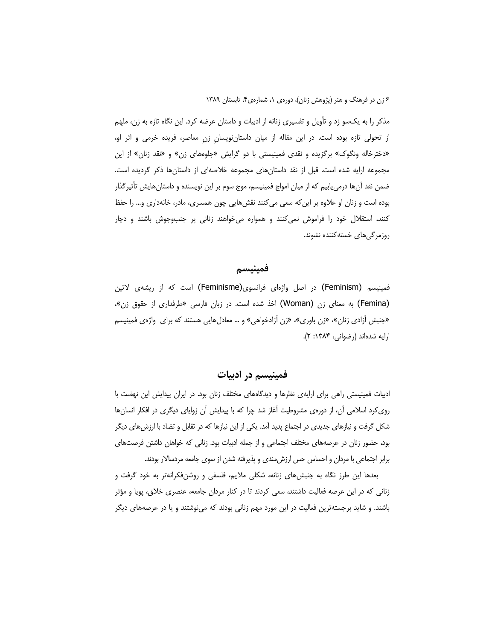مذکر را به یکسو زد و تأویل و تفسیری زنانه از ادبیات و داستان عرضه کرد. این نگاه تازه به زن، ملهم از تحولی تازه بوده است. در این مقاله از میان داستان نویسان زن معاصر، فریده خرمی و اثر او، «دخترخاله ونگوک» برگزیده و نقدی فمینیستی با دو گرایش «جلوههای زن» و «نقد زنان» از این مجموعه ارایه شده است. قبل از نقد داستانهای مجموعه خلاصهای از داستانها ذکر گردیده است. ضمن نقد آنها درمیٍ یابیم که از میان امواج فمینیسم، موج سوم بر این نویسنده و داستانهایش تأثیرگذار بوده است و زنان او علاوه بر این که سعی می کنند نقش هایی چون همسری، مادر، خانهداری و… را حفظ کنند، استقلال خود را فراموش نمی کنند و همواره می خواهند زنانی پر جنبوجوش باشند و دچار روزمرگیهای خسته کننده نشوند.

#### فمينيسم

فمینیسم (Feminism) در اصل واژهای فرانسوی(Feminisme) است که از ریشهی لاتین (Femina) به معنای زن (Woman) اخذ شده است. در زبان فارسی «طرفداری از حقوق زن»، «جنبش آزادی زنان»، «زن باوری»، «زن آزادخواهی» و … معادلهایی هستند که برای واژهی فمینیسم ارایه شدهاند (رضوانی، ۱۳۸۴: ۲).

#### فمینیسم در ادبیات

ادبیات فمینیستی راهی برای ارایهی نظرها و دیدگاههای مختلف زنان بود. در ایران پیدایش این نهضت با روی کرد اسلامی آن، از دورهی مشروطیت آغاز شد چرا که با پیدایش آن زوایای دیگری در افکار انسانها شکل گرفت و نیازهای جدیدی در اجتماع پدید آمد. یکی از این نیازها که در تقابل و تضاد با ارزش های دیگر بود، حضور زنان در عرصههای مختلف اجتماعی و از جمله ادبیات بود. زنانی که خواهان داشتن فرصتهای برابر اجتماعی با مردان و احساس حس ارزش مندی و پذیرفته شدن از سوی جامعه مردسالار بودند.

بعدها این طرز نگاه به جنبشهای زنانه، شکلی ملایم، فلسفی و روشنفکرانهتر به خود گرفت و زنانی که در این عرصه فعالیت داشتند، سعی کردند تا در کنار مردان جامعه، عنصری خلاق، یویا و مؤثر باشند. و شاید برجستهترین فعالیت در این مورد مهم زنانی بودند که مینوشتند و یا در عرصههای دیگر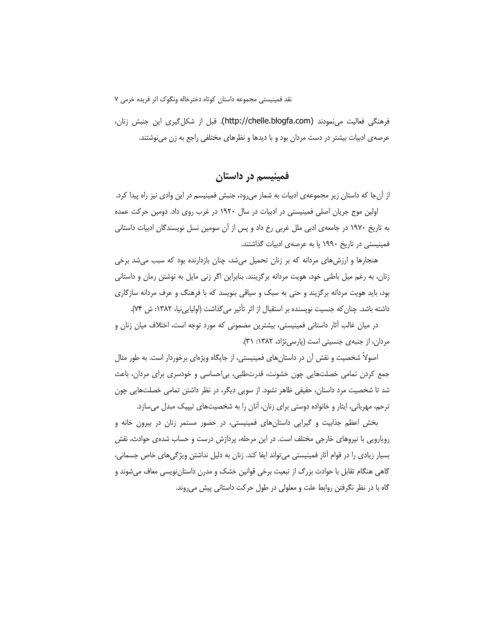فرهنگی فعالیت می نمودند (http://chelle.blogfa.com). قبل از شکل گیری این جنبش زنان، عرصه ی ادبیات بیشتر در دست مردان بود و با دیدها و نظرهای مختلفی راجع به زن می نوشتند.

فمينيسم در داستان

از آنجا که داستان زیر مجموعهی ادبیات به شمار میرود، جنبش فمینیسم در این وادی نیز راه پیدا کرد. اولین موج جریان اصلی فمینیستی در ادبیات در سال ۱۹۲۰ در غرب روی داد. دومین حرکت عمده به تاریخ ۱۹۷۰ در جامعهی ادبی ملل غربی رخ داد و پس از آن سومین نسل نویسندگان ادبیات داستانی فمینیستی در تاریخ ۱۹۹۰ پا به عرصهی ادبیات گذاشتند.

هنجارها و ارزشهای مردانه که بر زنان تحمیل میشد، چنان بازدارنده بود که سبب میشد برخی زنان، به رغم میل باطنی خود، هویت مردانه برگزینند. بنابراین اگر زنی مایل به نوشتن رمان و داستانی بود، باید هویت مردانه برگزیند و حتی به سبک و سیاقی بنویسد که با فرهنگ و عرف مردانه سازگاری داشته باشد. چنان که جنسیت نویسنده بر استقبال از اثر تأثیر می گذاشت (اولیایی نیا، ۱۳۸۲: ش ۷۴).

در میان غالب آثار داستانی فمینیستی، بیشترین مضمونی که مورد توجه است، اختلاف میان زنان و مردان، از جنبه ی جنسیتی است (پارسی نژاد، ۱۳۸۲: ۳۱).

اصولاً شخصیت و نقش آن در داستانهای فمینیستی، از جایگاه ویژهای برخوردار است. به طور مثال جمع کردن تمامی خصلتهایی چون خشونت، قدرتطلبی، بی احساسی و خودسری برای مردان، باعث شد تا شخصیت مرد داستان، حقیقی ظاهر نشود. از سویی دیگر، در نظر داشتن تمامی خصلتهایی چون ترحم، مهربانی، ایثار و خانواده دوستی برای زنان، آنان را به شخصیتهای تپییک مبدل می سازد.

بخش اعظم جذابیت و گیرایی داستان های فمینیستی، در حضور مستمر زنان در بیرون خانه و رویارویی با نیروهای خارجی مختلف است. در این مرحله، پردازش درست و حساب شدهی حوادث، نقش بسیار زیادی را در قوام آثار فمینیستی می¤واند ایفا کند. زنان به دلیل نداشتن ویژگیهای خاص جسمانی، گاهی هنگام تقابل با حوادث بزرگ از تبعیت برخی قوانین خشک و مدرن داستاننویسی معاف میشوند و گاه با در نظر نگرفتن روابط علت و معلولی در طول حرکت داستانی پیش می روند.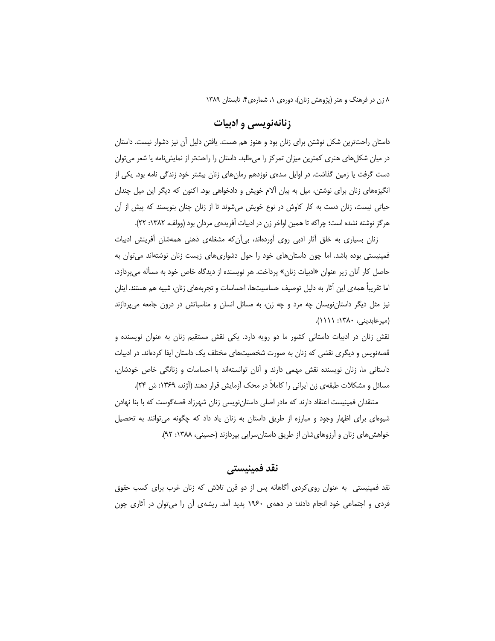# زنانهنویسی و ادبیات

داستان راحتترین شکل نوشتن برای زنان بود و هنوز هم هست. یافتن دلیل آن نیز دشوار نیست. داستان در میان شکلهای هنری کمترین میزان تمرکز را میطلبد. داستان را راحتتر از نمایشنامه یا شعر می توان دست گرفت یا زمین گذاشت. در اوایل سدهی نوزدهم رمانهای زنان بیشتر خود زندگی نامه بود. یکی از انگیزههای زنان برای نوشتن، میل به بیان آلام خویش و دادخواهی بود. اکنون که دیگر این میل چندان حیاتی نیست، زنان دست به کار کاوش در نوع خویش میشوند تا از زنان چنان بنویسند که پیش از آن هرگز نوشته نشده است؛ چراکه تا همین اواخر زن در ادبیات آفریدهی مردان بود (وولف، ۱۳۸۲: ۲۲).

زنان بسیاری به خلق آثار ادبی روی آوردهاند، بی آن که مشغلهی ذهنی همهشان آفرینش ادبیات فمینیستی بوده باشد. اما چون داستانهای خود را حول دشواریهای زیست زنان نوشتهاند می توان به حاصل کار آنان زیر عنوان «ادبیات زنان» پرداخت. هر نویسنده از دیدگاه خاص خود به مسأله میپردازد، اما تقریباً همه ی این آثار به دلیل توصیف حساسیتها، احساسات و تجربههای زنان، شبیه هم هستند. اینان نیز مثل دیگر داستانِ نویسان چه مرد و چه زن، به مسائل انسان و مناسباتش در درون جامعه می پردازند (میرعابدینی، ۱۳۸۰: ۱۱۱۱).

نقش زنان در ادبیات داستانی کشور ما دو رویه دارد. یکی نقش مستقیم زنان به عنوان نویسنده و قصهنویس و دیگری نقشی که زنان به صورت شخصیتهای مختلف یک داستان ایفا کردهاند. در ادبیات داستانی ما، زنان نویسنده نقش مهمی دارند و آنان توانستهاند با احساسات و زنانگی خاص خودشان، مسائل و مشکلات طبقهی زن ایرانی را کاملاً در محک آزمایش قرار دهند (آژند، ۱۳۶۹: ش ۲۴).

منتقدان فمینیست اعتقاد دارند که مادر اصلی داستانِنویسی زنان شهرزاد قصهگوست که با بنا نهادن شیوهای برای اظهار وجود و مبارزه از طریق داستان به زنان یاد داد که چگونه می توانند به تحصیل خواهش های زنان و آرزوهایشان از طریق داستان سرایی بپردازند (حسینی، ۱۳۸۸: ۹۲).

# نقد فمىنىستى

نقد فمینیستی به عنوان رویکردی أگاهانه پس از دو قرن تلاش که زنان غرب برای کسب حقوق فردی و اجتماعی خود انجام دادند؛ در دههی ۱۹۶۰ پدید آمد. ریشهی آن را میتوان در آثاری چون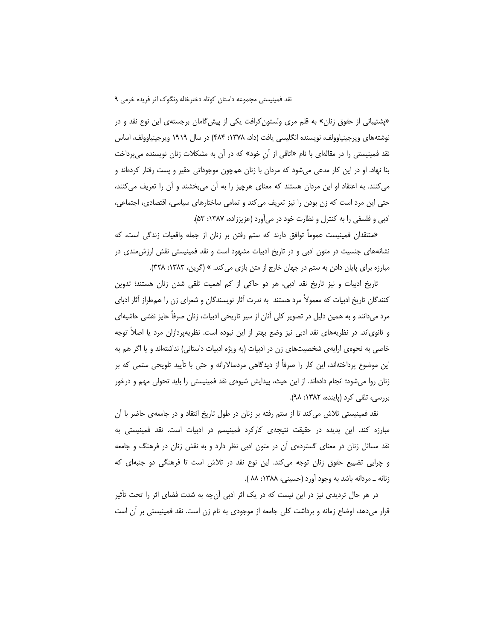«پشتیبانی از حقوق زنان» به قلم مری ولستون کرافت یکی از پیش گامان برجستهی این نوع نقد و در نوشتههای ویرجینیاوولف، نویسنده انگلیسی یافت (داد، ۱۳۷۸: ۴۸۴) در سال ۱۹۱۹ ویرجینیاوولف، اساس نقد فمینیستی را در مقالهای با نام «اتاقی از آن خود» که در آن به مشکلات زنان نویسنده میپرداخت بنا نهاد. او در این کار مدعی میشود که مردان با زنان همچون موجوداتی حقیر و پست رفتار کردهاند و می کنند. به اعتقاد او این مردان هستند که معنای هرچیز را به آن میبخشند و آن را تعریف می کنند، حتی این مرد است که زن بودن را نیز تعریف میکند و تمامی ساختارهای سیاسی، اقتصادی، اجتماعی، ادبی و فلسفی را به کنترل و نظارت خود در می آورد (عزیززاده، ۱۳۸۷: ۵۳).

«منتقدان فمینیست عموماً توافق دارند که ستم رفتن بر زنان از جمله واقعیات زندگی است، که نشانههای جنسیت در متون ادبی و در تاریخ ادبیات مشهود است و نقد فمینیستی نقش ارزشءندی در مبارزه برای پایان دادن به ستم در جهان خارج از متن بازی می کند. » (گرین، ۱۳۸۳: ۳۲۸).

تاریخ ادبیات و نیز تاریخ نقد ادبی، هر دو حاکی از کم اهمیت تلقی شدن زنان هستند؛ تدوین کنندگان تاریخ ادبیات که معمولاً مرد هستند به ندرت آثار نویسندگان و شعرای زن را همطراز آثار ادبای مرد میدانند و به همین دلیل در تصویر کلی آنان از سیر تاریخی ادبیات، زنان صرفاً حایز نقشی حاشیهای و ثانوی|ند. در نظریههای نقد ادبی نیز وضع بهتر از این نبوده است. نظریهپردازان مرد یا اصلاً توجه خاصی به نحوهی ارایهی شخصیتهای زن در ادبیات (به ویژه ادبیات داستانی) نداشتهاند و یا اگر هم به این موضوع پرداختهاند، این کار را صرفاً از دیدگاهی مردسالارانه و حتی با تأیید تلویحی ستمی که بر زنان روا میشود؛ انجام دادهاند. از این حیث، پیدایش شیوهی نقد فمینیستی را باید تحولی مهم و درخور بررسی، تلقی کرد (پاینده، ۱۳۸۲: ۹۸).

نقد فمینیستی تلاش میکند تا از ستم رفته بر زنان در طول تاریخ انتقاد و در جامعهی حاضر با اُن مبارزه کند. این پدیده در حقیقت نتیجهی کارکرد فمینیسم در ادبیات است. نقد فمینیستی به نقد مسائل زنان در معنای گستردهی آن در متون ادبی نظر دارد و به نقش زنان در فرهنگ و جامعه و چرایی تضییع حقوق زنان توجه میکند. این نوع نقد در تلاش است تا فرهنگی دو جنبهای که زنانه \_ مردانه باشد به وجود آورد (حسینی، ۱۳۸۸: ۸۸ ).

در هر حال تردیدی نیز در این نیست که در یک اثر ادبی آنچه به شدت فضای اثر را تحت تأثیر قرار میدهد، اوضاع زمانه و برداشت کلی جامعه از موجودی به نام زن است. نقد فمینیستی بر آن است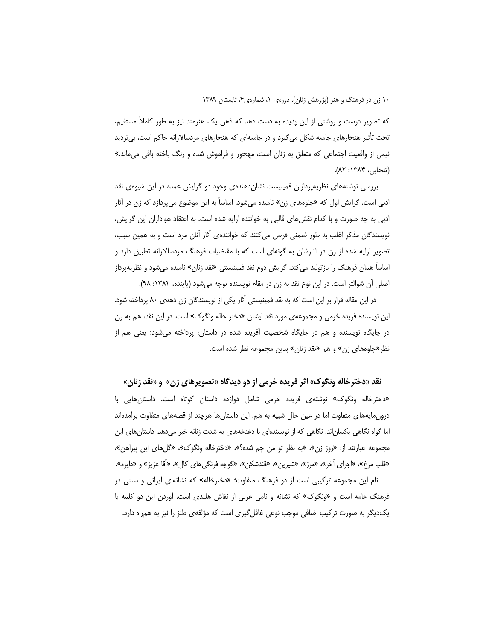که تصویر درست و روشنی از این پدیده به دست دهد که ذهن یک هنرمند نیز به طور کاملاً مستقیم، تحت تأثیر هنجارهای جامعه شکل میگیرد و در جامعهای که هنجارهای مردسالارانه حاکم است، بیتردید نیمی از واقعیت اجتماعی که متعلق به زنان است، مهجور و فراموش شده و رنگ باخته باقی می ماند.» (تلخابی، ۱۳۸۴: ۸۲).

بررسی نوشتههای نظریهپردازان فمینیست نشان دهندهی وجود دو گرایش عمده در این شیوهی نقد ادبی است. گرایش اول که «جلوههای زن» نامیده میشود، اساساً به این موضوع میپردازد که زن در آثار ادبی به چه صورت و با کدام نقش های قالبی به خواننده ارایه شده است. به اعتقاد هواداران این گرایش، نویسندگان مذکر اغلب به طور ضمنی فرض می کنند که خوانندهی آثار آنان مرد است و به همین سبب، تصویر ارایه شده از زن در آثارشان به گونهای است که با مقتضیات فرهنگ مردسالارانه تطبیق دارد و اساساً همان فرهنگ را بازتولید میکند. گرایش دوم نقد فمینیستی «نقد زنان» نامیده میشود و نظریهپرداز اصلي آن شوالتر است. در اين نوع نقد به زن در مقام نويسنده توجه مي شود (پاينده، ١٣٨٢: ٩٨).

در این مقاله قرار بر این است که به نقد فمینیستی آثار یکی از نویسندگان زن دههی ۸۰ پرداخته شود. این نویسنده فریده خرمی و مجموعهی مورد نقد ایشان «دختر خاله ونگوک» است. در این نقد، هم به زن در جایگاه نویسنده و هم در جایگاه شخصیت آفریده شده در داستان، پرداخته میشود؛ یعنی هم از نظر «جلوههای زن» و هم «نقد زنان» بدین مجموعه نظر شده است.

نقد «دخترخاله ونگوک» اثر فریده خرمی از دو دیدگاه «تصویرهای زن» و «نقد زنان» «دخترخاله ونگوک» نوشتهی فریده خرمی شامل دوازده داستان کوتاه است. داستانهایی با درون،ایههای متفاوت اما در عین حال شبیه به هم. این داستانها هرچند از قصههای متفاوت برآمدهاند اما گواه نگاهی یکسان|ند. نگاهی که از نویسندهای با دغدغههای به شدت زنانه خبر میدهد. داستانهای این مجموعه عبارتند از: «روز زن»، «به نظر تو من چم شده؟»، «دخترخاله ونگوک»، «گلهای این پیراهن»، «قلب مرغ»، «اجراي آخر»، «مرز»، «شيرين»، «قندشكن»، «گوجه فرنگي،اي كال»، «آقا عزيز» و «دايره». نام این مجموعه ترکیبی است از دو فرهنگ متفاوت؛ «دخترخاله» که نشانهای ایرانی و سنتی در فرهنگ عامه است و «ونگوک» که نشانه و نامی غربی از نقاش هلندی است. آوردن این دو کلمه با

یکدیگر به صورت ترکیب اضافی موجب نوعی غافل گیری است که مؤلفهی طنز را نیز به همراه دارد.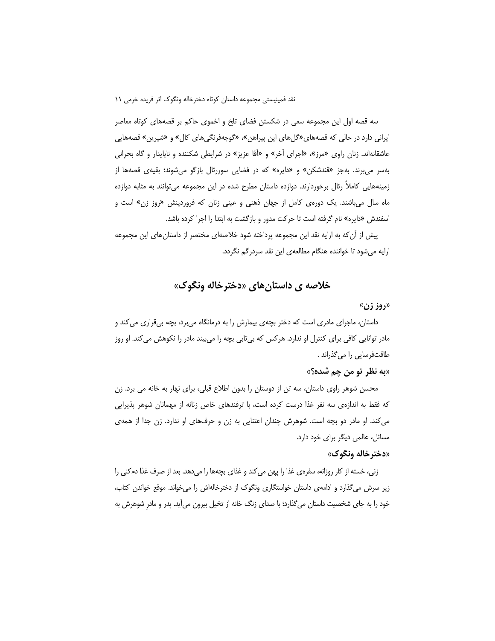سه قصه اول این مجموعه سعی در شکستن فضای تلخ و اخموی حاکم بر قصههای کوتاه معاصر ایرانی دارد در حالی که قصههای«گلهای این پیراهن»، «گوجهفرنگیهای کال» و «شیرین» قصههایی عاشقانهاند. زنان راوی «مرز»، «اجرای آخر» و «آقا عزیز» در شرایطی شکننده و ناپایدار و گاه بحرانی بهسر می برند. بهجز «قندشکن» و «دایره» که در فضایی سوررئال بازگو میشوند؛ بقیهی قصهها از زمینههایی کاملاً رئال برخوردارند. دوازده داستان مطرح شده در این مجموعه می توانند به مثابه دوازده ماه سال میباشند. یک دورهی کامل از جهان ذهنی و عینی زنان که فروردینش «روز زن» است و اسفندش «دایره» نام گرفته است تا حرکت مدور و بازگشت به ابتدا را اجرا کرده باشد.

پیش از آن که به ارایه نقد این مجموعه پرداخته شود خلاصهای مختصر از داستانهای این مجموعه ارایه میشود تا خواننده هنگام مطالعهی این نقد سردرگم نگردد.

# خلاصه ي داستان هاي «دختر خاله ونگوک»

#### «روز زن»

داستان، ماجرای مادری است که دختر بچهی بیمارش را به درمانگاه میبرد، بچه بیقراری می کند و مادر توانایی کافی برای کنترل او ندارد. هر کس که بی تابی بچه را می بیند مادر را نکوهش می کند. او روز طاقتفرسایی را میگذراند .

#### «به نظر تو من چم شده؟»

محسن شوهر راوی داستان، سه تن از دوستان را بدون اطلاع قبلی، برای نهار به خانه می برد. زن که فقط به اندازهی سه نفر غذا درست کرده است، با ترفندهای خاص زنانه از مهمانان شوهر پذیرایی میکند. او مادر دو بچه است. شوهرش چندان اعتنایی به زن و حرفهای او ندارد. زن جدا از همهی مسائل، عالمی دیگر برای خود دارد.

## «دخترخاله ونگوك»

زنی، خسته از کار روزانه، سفرهی غذا را پهن میکند و غذای بچهها را میدهد. بعد از صرف غذا دمکنی را زیر سرش میگذارد و ادامهی داستان خواستگاری ونگوک از دخترخالهاش را میخواند. موقع خواندن کتاب، خود را به جای شخصیت داستان میگذارد؛ با صدای زنگ خانه از تخیل بیرون میآید. پدر و مادر شوهرش به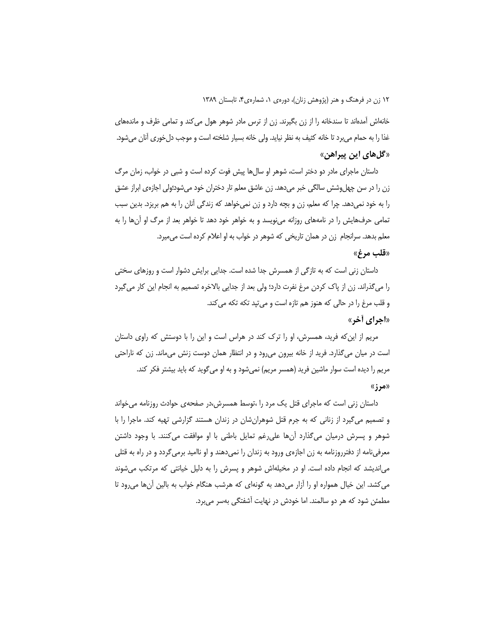خانهاش آمدهاند تا سندخانه را از زن بگیرند. زن از ترس مادر شوهر هول می کند و تمامی ظرف و ماندههای غذا را به حمام میبرد تا خانه کثیف به نظر نیاید. ولی خانه بسیار شلخته است و موجب دلخوری آنان میشود. «گلهای این پیراهن»

داستان ماجرای مادر دو دختر است، شوهر او سالها پیش فوت کرده است و شبی در خواب، زمان مرگ زن را در سن چهلوشش سالگی خبر میدهد. زن عاشق معلم تار دختران خود میشود؛ولی اجازهی ابراز عشق را به خود نمیدهد. چرا که معلم، زن و بچه دارد و زن نمیخواهد که زندگی آنان را به هم بریزد. بدین سبب تمامی حرفهایش را در نامههای روزانه مینویسد و به خواهر خود دهد تا خواهر بعد از مرگ او آنها را به معلم بدهد. سرانجام ازن در همان تاریخی که شوهر در خواب به او اعلام کرده است می میرد.

#### «قلب مرغ»

داستان زنی است که به تازگی از همسرش جدا شده است. جدایی برایش دشوار است و روزهای سختی را میگذراند. زن از پاک کردن مرغ نفرت دارد؛ ولی بعد از جدایی بالاخره تصمیم به انجام این کار میگیرد و قلب مرغ را در حالي كه هنوز هم تازه است و مي تيد تكه تكه مي كند. «اجراي أخر»

مریم از این که فرید، همسرش، او را ترک کند در هراس است و این را با دوستش که راوی داستان است در میان میگذارد. فرید از خانه بیرون میرود و در انتظار همان دوست زنش میماند. زن که ناراحتی مریم را دیده است سوار ماشین فرید (همسر مریم) نمی،شود و به او می گوید که باید بیشتر فکر کند. «مرز»

داستان زنی است که ماجرای قتل یک مرد را ،توسط همسرش،در صفحهی حوادث روزنامه می خواند و تصمیم میگیرد از زنانی که به جرم قتل شوهرانِشان در زندان هستند گزارشی تهیه کند. ماجرا را با شوهر و پسرش درمیان میگذارد آنها علی رغم تمایل باطنی با او موافقت میکنند. با وجود داشتن معرفینامه از دفترروزنامه به زن اجازهی ورود به زندان را نمیدهند و او ناامید برمیگردد و در راه به قتلی می|ندیشد که انجام داده است. او در مخیلهاش شوهر و پسرش را به دلیل خیانتی که مرتکب میشوند می کشد. این خیال همواره او را آزار میدهد به گونهای که هرشب هنگام خواب به بالین آنها می رود تا مطمئن شود که هر دو سالمند. اما خودش در نهایت آشفتگی بهسر میبرد.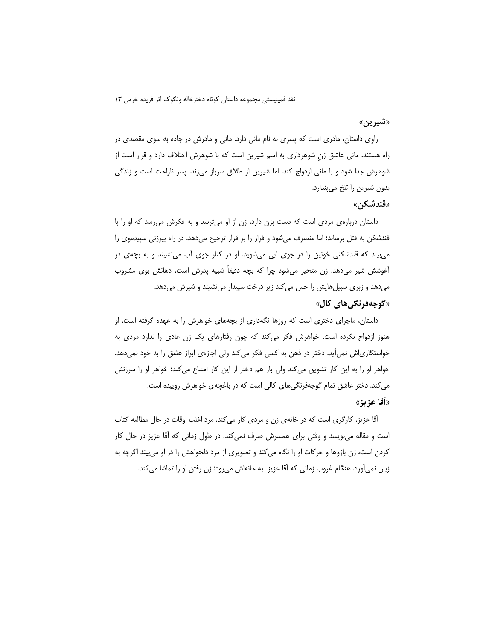#### «شيرين»

راوی داستان، مادری است که پسری به نام مانی دارد. مانی و مادرش در جاده به سوی مقصدی در راه هستند. مانی عاشق زن شوهرداری به اسم شیرین است که با شوهرش اختلاف دارد و قرار است از شوهرش جدا شود و با مانی ازدواج کند. اما شیرین از طلاق سرباز میزند. پسر ناراحت است و زندگی بدون شیرین را تلخ میپندارد.

#### «**قندشكن»**

داستان دربارهی مردی است که دست بزن دارد، زن از او میترسد و به فکرش میرسد که او را با قندشکن به قتل برساند؛ اما منصرف میشود و فرار را بر قرار ترجیح میدهد. در راه پیرزنی سپیدموی را می بیند که قندشکنی خونین را در جوی آبی میشوید. او در کنار جوی آب می نشیند و به بچهی در آغوشش شیر میدهد. زن متحیر میشود چرا که بچه دقیقاً شبیه پدرش است، دهانش بوی مشروب میدهد و زبری سبیلهایش را حس میکند زیر درخت سپیدار مینشیند و شیرش میدهد. «گوجەفرنگى ھاي كال»

داستان، ماجرای دختری است که روزها نگهداری از بچههای خواهرش را به عهده گرفته است. او هنوز ازدواج نکرده است. خواهرش فکر میکند که چون رفتارهای یک زن عادی را ندارد مردی به خواستگاریاش نمیآید. دختر در ذهن به کسی فکر میکند ولی اجازهی ابراز عشق را به خود نمیدهد. خواهر او را به این کار تشویق میکند ولی باز هم دختر از این کار امتناع میکند؛ خواهر او را سرزنش می کند. دختر عاشق تمام گوجهفرنگیهای کالی است که در باغچهی خواهرش روییده است. «أقا عزين»

آقا عزیز، کارگری است که در خانهی زن و مردی کار می کند. مرد اغلب اوقات در حال مطالعه کتاب است و مقاله می نویسد و وقتی برای همسرش صرف نمی کند. در طول زمانی که آقا عزیز در حال کار کردن است، زن بازوها و حرکات او را نگاه میکند و تصویری از مرد دلخواهش را در او میبیند اگرچه به زبان نمي آورد. هنگام غروب زماني كه آقا عزيز به خانهاش مي رود؛ زن رفتن او را تماشا مي كند.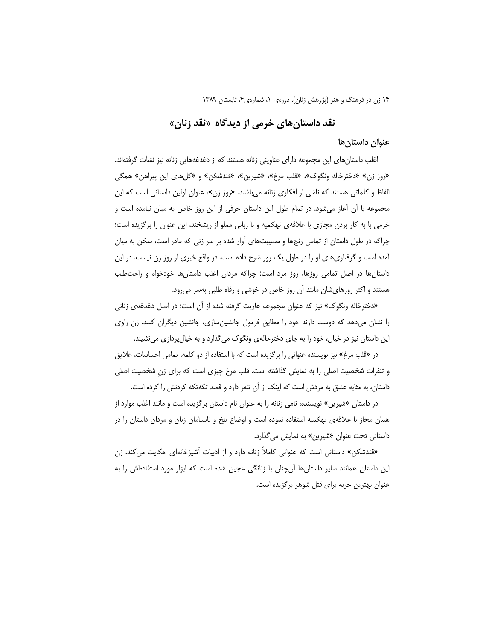# نقد داستانهای خرمی از دیدگاه «نقد زنان»

#### عنوان داستان ها

اغلب داستانهای این مجموعه دارای عناوینی زنانه هستند که از دغدغههایی زنانه نیز نشأت گرفتهاند. «روز زن» «دخترخاله ونگوک»، «قلب مرغ»، «شيرين»، «قندشکن» و «گلهای اين پيراهن» همگی الفاظ و کلماتی هستند که ناشی از افکاری زنانه می باشند. «روز زن»، عنوان اولین داستانی است که این مجموعه با آن أغاز میشود. در تمام طول این داستان حرفی از این روز خاص به میان نیامده است و خرمی با به کار بردن مجازی با علاقهی تهکمیه و با زبانی مملو از ریشخند، این عنوان را برگزیده است؛ چراکه در طول داستان از تمامی رنجها و مصیبتهای آوار شده بر سر زنی که مادر است، سخن به میان آمده است و گرفتاریهای او را در طول یک روز شرح داده است. در واقع خبری از روز زن نیست. در این داستان ها در اصل تمامی روزها، روز مرد است؛ چراکه مردان اغلب داستانها خودخواه و راحت طلب هستند و اکثر روزهایشان مانند آن روز خاص در خوشی و رفاه طلبی بهسر می رود.

«دخترخاله ونگوک» نیز که عنوان مجموعه عاریت گرفته شده از آن است؛ در اصل دغدغهی زنانی را نشان میدهد که دوست دارند خود را مطابق فرمول جانشینسازی، جانشین دیگران کنند. زن راوی این داستان نیز در خیال، خود را به جای دخترخالهی ونگوک می گذارد و به خیال پردازی می نشیند.

در «قلب مرغ» نیز نویسنده عنوانی را برگزیده است که با استفاده از دو کلمه، تمامی احساسات، علایق و تنفرات شخصیت اصلی را به نمایش گذاشته است. قلب مرغ چیزی است که برای زن شخصیت اصلی داستان، به مثابه عشق به مردش است که اینک از آن تنفر دارد و قصد تکهتکه کردنش را کرده است.

در داستان «شیرین» نویسنده، نامی زنانه را به عنوان نام داستان برگزیده است و مانند اغلب موارد از همان مجاز با علاقهی تهکمیه استفاده نموده است و اوضاع تلخ و نابسامان زنان و مردان داستان را در داستانی تحت عنوان «شیرین» به نمایش میگذارد.

«قندشکن» داستانی است که عنوانی کاملاً زنانه دارد و از ادبیات آشپزخانهای حکایت میکند. زن این داستان همانند سایر داستانها آن چنان با زنانگی عجین شده است که ابزار مورد استفادهاش را به عنوان بهترین حربه برای قتل شوهر برگزیده است.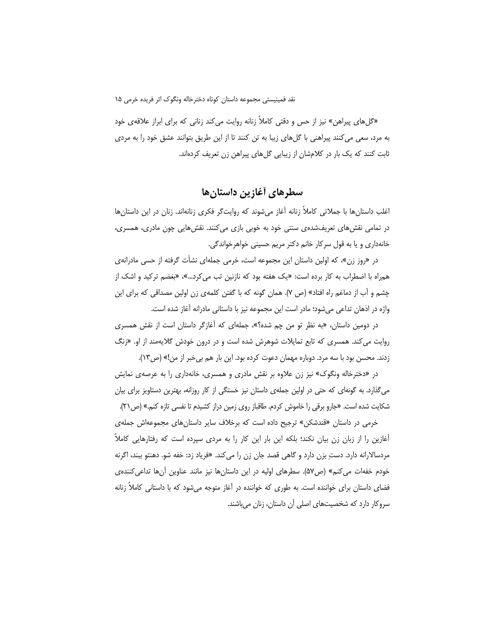«گل های پیراهن» نیز از حس و دقتی کاملاً زنانه روایت می کند زنانی که برای ابراز علاقهی خود به مرد، سعی میکنند پیراهنی با گلهای زیبا به تن کنند تا از این طریق بتوانند عشق خود را به مردی ثابت کنند که یک بار در کلامشان از زیبایی گلهای پیراهن زن تعریف کردهاند.

سطرهای أغازین داستان ها

اغلب داستان ها با جملاتی کاملاً زنانه آغاز میشوند که روایتگر فکری زنانهاند. زنان در این داستان ها در تمامی نقشهای تعریفشدهی سنتی خود به خوبی بازی میکنند. نقشهایی چون مادری، همسری، خانهداري و يا به قول سركار خانم دكتر مريم حسيني خواهرخواندگي.

در «روز زن»، که اولین داستان این مجموعه است، خرمی جملهای نشأت گرفته از حسی مادرانهی همراه با اضطراب به كار برده است: «يك هفته بود كه نازنين تب مي كرد...»، «بغضم تركيد و اشك از چشم و أب از دماغم راه افتاد» (ص ۷). همان گونه که با گفتن کلمهی زن اولین مصداقی که برای این واژه در اذهان تداعی میشود؛ مادر است این مجموعه نیز با داستانی مادرانه آغاز شده است.

در دومین داستان، «به نظر تو من چم شده؟»، جملهای که آغازگر داستان است از نقش همسری روایت می کند. همسری که تابع تمایلات شوهرش شده است و در درون خودش گلایهمند از او. «زنگ

زدند. محسن بود با سه مرد. دوباره مهمان دعوت کرده بود. این بار هم بیخبر از من!» (ص١٣). در «دخترخاله ونگوک» نیز زن علاوه بر نقش مادری و همسری، خانهداری را به عرصهی نمایش می گذارد. به گونهای که حتی در اولین جملهی داستان نیز خستگی از کار روزانه، بهترین دستاویز برای بیان شکایت شده است. «جارو برقی را خاموش کردم. طاقباز روی زمین دراز کشیدم تا نفسی تازه کنم.» (ص۲۱).

خرمی در داستان «قندشکن» ترجیح داده است که برخلاف سایر داستانهای مجموعهاش جملهی أغازین را از زبان زن بیان نکند؛ بلکه این بار این کار را به مردی سپرده است که رفتارهایی کاملاً مردسالارانه دارد. دستِ بزن دارد و گاهی قصد جان زن را می کند. «فریاد زد: خفه شو. دهنتو ببند، اگرنه خودم خفهات می کنم» (ص۵۷). سطرهای اولیه در این داستانها نیز مانند عناوین آنها تداعی کننده ی فضای داستان برای خواننده است. به طوری که خواننده در آغاز متوجه میشود که با داستانی کاملاً زنانه سروکار دارد که شخصیتهای اصلی آن داستان، زنان میباشند.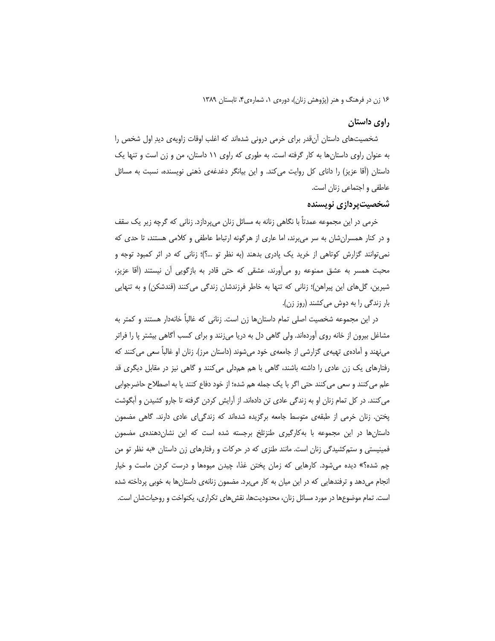#### راوي داستان

شخصیتهای داستان آنقدر برای خرمی درونی شدهاند که اغلب اوقات زاویهی دیدِ اول شخص را به عنوان راوی داستانها به کار گرفته است. به طوری که راوی ١١ داستان، من و زن است و تنها یک داستان (أقا عزیز) را دانای کل روایت میکند. و این بیانگر دغدغهی ذهنی نویسنده، نسبت به مسائل عاطفی و اجتماعی زنان است.

### شخصیت پردازی نویسنده

خرمی در این مجموعه عمدتاً با نگاهی زنانه به مسائل زنان میپردازد. زنانی که گرچه زیر یک سقف و در کنار همسران شان به سر می برند، اما عاری از هرگونه ارتباط عاطفی و کلامی هستند، تا حدی که نمی توانند گزارش کوتاهی از خرید یک پادری بدهند (به نظر تو ...؟)؛ زنانی که در اثر کمبود توجه و محبت همسر به عشق ممنوعه رو می[َورند، عشقی که حتی قادر به بازگویی آن نیستند (آقا عزیز، شیرین، گلهای این پیراهن)؛ زنانی که تنها به خاطر فرزندشان زندگی میکنند (قندشکن) و به تنهایی بار زندگی را به دوش می کشند (روز زن).

در این مجموعه شخصیت اصلی تمام داستانها زن است. زنانی که غالباً خانهدار هستند و کمتر به مشاغل بیرون از خانه روی آوردهاند. ولی گاهی دل به دریا میزنند و برای کسب أگاهی بیشتر پا را فراتر می;بهند و آمادهی تهیهی گزارشی از جامعهی خود میشوند (داستان مرز). زنان او غالباً سعی می کنند که رفتارهای یک زن عادی را داشته باشند، گاهی با هم همدلی میکنند و گاهی نیز در مقابل دیگری قد علم می کنند و سعی می کنند حتی اگر با یک جمله هم شده؛ از خود دفاع کنند یا به اصطلاح حاضرجوابی می کنند. در کل تمام زنان او به زندگی عادی تن دادهاند. از آرایش کردن گرفته تا جارو کشیدن و آبگوشت پختن. زنان خرمی از طبقهی متوسط جامعه برگزیده شدهاند که زندگیای عادی دارند. گاهی مضمون داستانها در این مجموعه با بهکارگیری طنزتلخ برجسته شده است که این نشاندهندهی مضمون فمینیستی و ستم کشیدگی زنان است. مانند طنزی که در حرکات و رفتارهای زن داستان «به نظر تو من چم شده؟» دیده میشود. کارهایی که زمان پختن غذا، چیدن میوهها و درست کردن ماست و خیار انجام می دهد و ترفندهایی که در این میان به کار می برد. مضمون زنانهی داستانها به خوبی پرداخته شده است. تمام موضوعها در مورد مسائل زنان، محدودیتها، نقش۱های تکراری، یکنواخت و روحیاتشان است.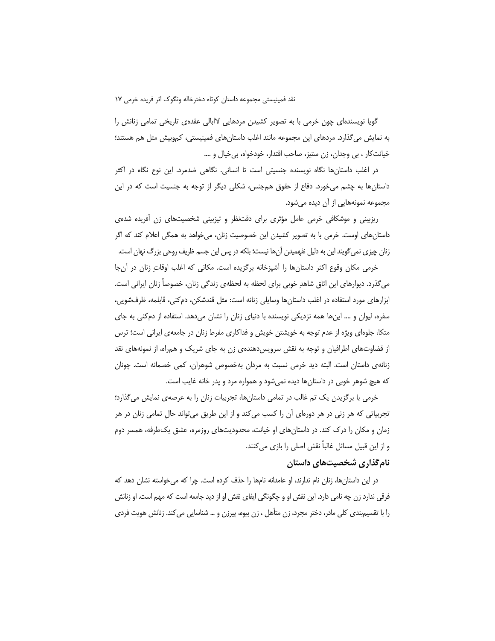گویا نویسندهای چون خرمی با به تصویر کشیدن مردهایی لاابالی عقدهی تاریخی تمامی زنانش را به نمایش میگذارد. مردهای این مجموعه مانند اغلب داستانهای فمینیستی، کموبیش مثل هم هستند؛ خيانت کار ، بي وجدان، زن ستيز، صاحب اقتدار، خودخواه، بي خيال و ….

در اغلب داستانها نگاه نویسنده جنسیتی است تا انسانی. نگاهی ضدمرد. این نوع نگاه در اکثر داستانها به چشم میخورد. دفاع از حقوق همجنس، شکلی دیگر از توجه به جنسیت است که در این مجموعه نمونههایی از آن دیده میشود.

ریزبینی و موشکافی خرمی عامل مؤثری برای دقتنظر و تیزبینی شخصیتهای زن آفریده شدهی داستانهای اوست. خرمی با به تصویر کشیدن این خصوصیت زنان، میخواهد به همگی اعلام کند که اگر زنان چیزی نمی گویند این به دلیل نفهمیدن آنها نیست؛ بلکه در پس این جسم ظریف روحی بزرگ نهان است.

خرمی مکان وقوع اکثر داستانها را آشپزخانه برگزیده است. مکانی که اغلب اوقاتِ زنان در آنجا می گذرد. دیوارهای این اتاق شاهد خوبی برای لحظه به لحظهی زندگی زنان، خصوصاً زنان ایرانی است. ابزارهای مورد استفاده در اغلب داستانها وسایلی زنانه است: مثل قندشکن، دم کنی، قابلمه، ظرفشویی، سفره، لیوان و …. اینها همه نزدیکی نویسنده با دنیای زنان را نشان میدهد. استفاده از دم کنی به جای متکا، جلوهای ویژه از عدم توجه به خویشتن خویش و فداکاری مفرط زنان در جامعهی ایرانی است؛ ترس از قضاوتهای اطرافیان و توجه به نقش سرویس دهندهی زن به جای شریک و همراه، از نمونههای نقد زنانهی داستان است. البته دید خرمی نسبت به مردان بهخصوص شوهران، کمی خصمانه است. چونان که هیچ شوهر خوبی در داستانها دیده نمیشود و همواره مرد و پدر خانه غایب است.

خرمی با برگزیدن یک تم غالب در تمامی داستانها، تجربیات زنان را به عرصهی نمایش میگذارد؛ تجربیاتی که هر زنی در هر دورهای آن را کسب میکند و از این طریق میتواند حال تمامی زنان در هر زمان و مکان را درک کند. در داستانهای او خیانت، محدودیتهای روزمره، عشق یکطرفه، همسر دوم و از این قبیل مسائل غالباً نقش اصلی را بازی می کنند.

### نام گذاری شخصیتهای داستان

در این داستانها، زنان نام ندارند، او عامدانه نامها را حذف کرده است. چرا که میخواسته نشان دهد که فرقی ندارد زن چه نامی دارد. این نقش او و چگونگی ایفای نقش او از دید جامعه است که مهم است. او زنانش را با تقسیمبندی کلی مادر، دختر مجرد، زن متأهل ، زن بیوه، پیرزن و … شناسایی می کند. زنانش هویت فردی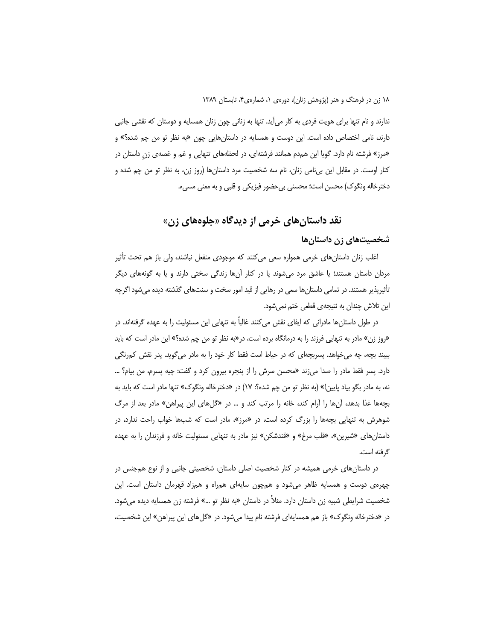ندارند و نام تنها برای هویت فردی به کار میآید. تنها به زنانی چون زنان همسایه و دوستان که نقشی جانبی دارند، نامی اختصاص داده است. این دوست و همسایه در داستانهایی چون «به نظر تو من چم شده؟» و «مرز» فرشته نام دارد. گویا این همدم همانند فرشتهای، در لحظههای تنهایی و غم و غصهی زن داستان در کنار اوست. در مقابل این بیiامی زنان، نام سه شخصیت مرد داستانها (روز زن، به نظر تو من چم شده و دخترخاله ونگوک) محسن است؛ محسنی بی حضور فیزیکی و قلبی و به معنی مسیء.

# نقد داستانهای خرمی از دیدگاه «جلوههای زن»

### شخصیتهای زن داستانها

اغلب زنان داستانِهای خرمی همواره سعی میکنند که موجودی منفعل نباشند، ولی باز هم تحت تأثیر مردان داستان هستند؛ یا عاشق مرد میشوند یا در کنار آنها زندگی سختی دارند و یا به گونههای دیگر تأثیرپذیر هستند. در تمامی داستانها سعی در رهایی از قید امور سخت و سنتهای گذشته دیده میشود اگرچه این تلاش چندان به نتیجهی قطعی ختم نمیشود.

در طول داستانها مادرانی که ایفای نقش می کنند غالباً به تنهایی این مسئولیت را به عهده گرفتهاند. در «روز زن» مادر به تنهایی فرزند را به درمانگاه برده است، در«به نظر تو من چم شده؟» این مادر است که باید ببیند بچه، چه میخواهد. پسربچهای که در حیاط است فقط کار خود را به مادر میگوید. پدر نقش کمرنگی دارد. پسر فقط مادر را صدا می;ند «محسن سرش را از پنجره بیرون کرد و گفت: چیه پسرم، من بیام؟ … نه، به مادر بگو بياد پايين!» (به نظر تو من چم شده؟: ١٧) در «دخترخاله ونگوک» تنها مادر است که بايد به بچهها غذا بدهد، آنها را آرام کند، خانه را مرتب کند و … در «گلهای این پیراهن» مادر بعد از مرگ شوهرش به تنهایی بچهها را بزرگ کرده است، در «مرز»، مادر است که شبها خواب راحت ندارد، در داستانهای «شیرین»، «قلب مرغ» و «قندشکن» نیز مادر به تنهایی مسئولیت خانه و فرزندان را به عهده گرفته است.

در داستانهای خرمی همیشه در کنار شخصیت اصلی داستان، شخصیتی جانبی و از نوع همجنس در چهرهی دوست و همسایه ظاهر میشود و همچون سایهای همراه و همزاد قهرمان داستان است. این شخصیت شرایطی شبیه زن داستان دارد. مثلاً در داستان «به نظر تو …» فرشته زن همسایه دیده می شود. در «دخترخاله ونگوک» باز هم همسایهای فرشته نام پیدا میشود. در «گلهای این پیراهن» این شخصیت،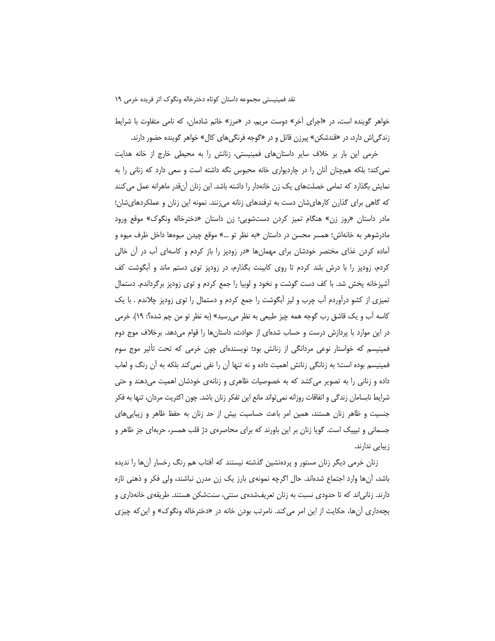خواهر گوینده است، در «اجرای آخر» دوست مریم، در «مرز» خانم شادمان، که نامی متفاوت با شرایط زندگی!ش دارد، در «قندشکن» پیرزن قاتل و در «گوجه فرنگیهای کال» خواهر گوینده حضور دارند.

خرمی این بار بر خلاف سایر داستانهای فمینیستی، زنانش را به محیطی خارج از خانه هدایت نمی کند؛ بلکه همچنان آنان را در چاردیواری خانه محبوس نگه داشته است و سعی دارد که زنانی را به نمایش بگذارد که تمامی خصلتهای یک زن خانهدار را داشته باشد. این زنان آنقدر ماهرانه عمل میکنند که گاهی برای گذارن کارهایشان دست به ترفندهای زنانه میزنند. نمونه این زنان و عملکردهایشان؛ مادر داستان «روز زن» هنگام تمیز کردن دستشویی؛ زن داستان «دخترخاله ونگوک» موقع ورود مادرشوهر به خانهاش؛ همسر محسن در داستان «به نظر تو …» موقع چیدن میوهها داخل ظرف میوه و آماده کردن غذای مختصر خودشان برای مهمانها «در زودپز را باز کردم و کاسهای آب در آن خال<u>ی</u> کردم، زودپز را با درش بلند کردم تا روی کابینت بگذارم، در زودپز توی دستم ماند و اَبگوشت کف أشپزخانه پخش شد. با کف دست گوشت و نخود و لوبیا را جمع کردم و توی زودپز برگرداندم. دستمال تمیزی از کشو درآوردم آب چرب و لیز آبگوشت را جمع کردم و دستمال را توی زودپز چلاندم . با یک کاسه اّب و یک قاشق رب گوجه همه چیز طبیعی به نظر می٫رسید» (به نظر تو من چم شده؟: ۱۹). خرمی در این موارد با پردازش درست و حساب شدهای از حوادث، داستانها را قوام میدهد. برخلاف موج دوم فمینیسم که خواستار نوعی مردانگی از زنانش بود؛ نویسندهای چون خرمی که تحت تأثیر موج سوم فمینیسم بوده است؛ به زنانگی زنانش اهمیت داده و نه تنها آن را نفی نمی کند بلکه به آن رنگ و لعاب داده و زنانی را به تصویر می کشد که به خصوصیات ظاهری و زنانهی خودشان اهمیت میدهند و حتی شرایط نابسامان زندگی و اتفاقات روزانه نمی¤واند مانع این تفکر زنان باشد. چون اکثریت مردان، تنها به فکر جنسیت و ظاهر زنان هستند، همین امر باعث حساسیت بیش از حد زنان به حفظ ظاهر و زیبایی های جسمانی و تیپیک است. گویا زنان بر این باورند که برای محاصرهی دژ قلب همسر، حربهای جز ظاهر و زیبایی ندارند.

زنان خرمی دیگر زنان مستور و پردهنشین گذشته نیستند که آفتاب هم رنگ رخسار آنها را ندیده باشد، انها وارد اجتماع شدهاند. حال اگرچه نمونهی بارز یک زن مدرن نباشند، ولی فکر و ذهنی تازه دارند. زنانی|ند که تا حدودی نسبت به زنان تعریفشدهی سنتی، سنتشکن هستند. طریقهی خانهداری و بچهداری أنها، حکایت از این امر میکند. نامرتب بودن خانه در «دخترخاله ونگوک» و این که چیزی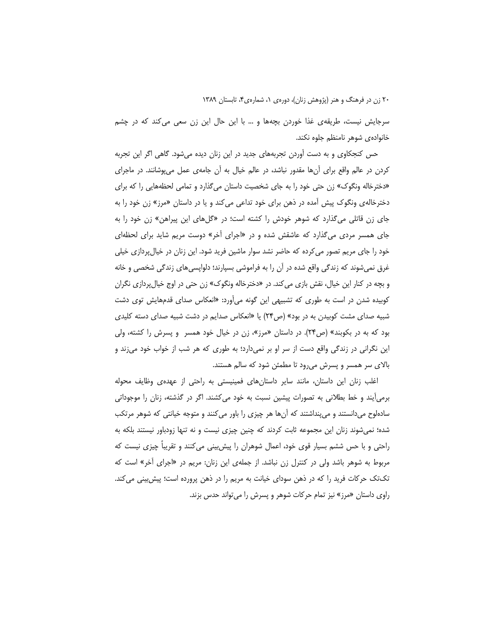سرجایش نیست، طریقهی غذا خوردن بچهها و … با این حال این زن سعی می کند که در چشم خانواده ی شوهر نامنظم جلوه نکند.

حس کنجکاوی و به دست آوردن تجربههای جدید در این زنان دیده میشود. گاهی اگر این تجربه کردن در عالم واقع برای اَنها مقدور نباشد، در عالم خیال به اَن جامهی عمل میپوشانند. در ماجرای «دخترخاله ونگوک» زن حتی خود را به جای شخصیت داستان میگذارد و تمامی لحظههایی را که برای دخترخاله یونگوک پیش آمده در ذهن برای خود تداعی می کند و یا در داستان «مرز» زن خود را به جای زن قاتلی می گذارد که شوهر خودش را کشته است؛ در «گلهای این پیراهن» زن خود را به جای همسر مردی میگذارد که عاشقش شده و در «اجرای آخر» دوست مریم شاید برای لحظهای خود را جای مریم تصور می کرده که حاضر نشد سوار ماشین فرید شود. این زنان در خیال پردازی خیلی غرق نمیشوند که زندگی واقع شده در آن را به فراموشی بسپارند؛ دلواپسیهای زندگی شخصی و خانه و بچه در کنار این خیال، نقش بازی میکند. در «دخترخاله ونگوک» زن حتی در اوج خیالپردازی نگران کوبیده شدن در است به طوری که تشبیهی این گونه میأورد: «انعکاس صدای قدمهایش توی دشت شبیه صدای مشت کوبیدن به در بود» (ص۲۴) یا «انعکاس صدایم در دشت شبیه صدای دسته کلیدی بود که به در بکوبند» (ص۲۴). در داستان «مرز»، زن در خیال خود همسر و پسرش را کشته، ولی این نگرانی در زندگی واقع دست از سر او بر نمیدارد؛ به طوری که هر شب از خواب خود میزند و بالای سر همسر و پسرش می رود تا مطمئن شود که سالم هستند.

اغلب زنان این داستان، مانند سایر داستانهای فمینیستی به راحتی از عهدهی وظایف محوله برمیأیند و خط بطلانی به تصورات پیشین نسبت به خود میکشند. اگر در گذشته، زنان را موجوداتی سادهلوح میدانستند و میپنداشتند که آنها هر چیزی را باور میکنند و متوجه خیانتی که شوهر مرتکب شده؛ نمیشوند زنان این مجموعه ثابت کردند که چنین چیزی نیست و نه تنها زودباور نیستند بلکه به راحتی و با حس ششم بسیار قوی خود، اعمال شوهران را پیش بینی می کنند و تقریباً چیزی نیست که مربوط به شوهر باشد ولی در کنترل زن نباشد. از جملهی این زنان: مریم در «اجرای آخر» است که تکتک حرکات فرید را که در ذهن سودای خیانت به مریم را در ذهن پرورده است؛ پیش بینی می کند. راوی داستان «مرز» نیز تمام حرکات شوهر و پسرش را می تواند حدس بزند.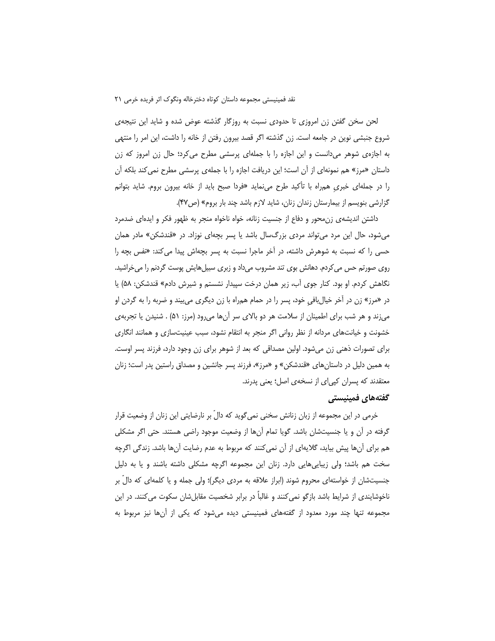لحن سخن گفتن زن امروزی تا حدودی نسبت به روزگار گذشته عوض شده و شاید این نتیجهی شروع جنبشی نوین در جامعه است. زن گذشته اگر قصد بیرون رفتن از خانه را داشت، این امر را منتهی به اجازهی شوهر میدانست و این اجازه را با جملهای پرسشی مطرح می کرد؛ حال زن امروز که زن داستان «مرز» هم نمونهای از آن است؛ این دریافت اجازه را با جملهی پرسشی مطرح نمی *ک*ند بلکه آن را در جملهای خبری همراه با تأکید طرح می نماید «فردا صبح باید از خانه بیرون بروم. شاید بتوانم گزارشی بنویسم از بیمارستان زندان زنان، شاید لازم باشد چند بار بروم» (ص۴۷).

داشتن اندیشه ی زن،محور و دفاع از جنسیت زنانه، خواه ناخواه منجر به ظهور فکر و ایدهای ضدمرد میشود، حال این مرد می تواند مردی بزرگسال باشد یا پسر بچهای نوزاد. در «قندشکن» مادر همان حسی را که نسبت به شوهرش داشته، در آخر ماجرا نسبت به پسر بچهاش پیدا میکند: «نفس بچه را روی صورتم حس می کردم. دهانش بوی تند مشروب میداد و زبری سبیلهایش پوست گردنم را می خراشید. نگاهش کردم. او بود. کنار جوی آب، زیر همان درخت سپیدار نشستم و شیرش دادم» قندشکن: ۵۸) یا در «مرز» زن در آخر خیالبافی خود، پسر را در حمام همراه با زن دیگری می،بیند و ضربه را به گردن او می;ند و هر شب برای اطمینان از سلامت هر دو بالای سر آنها میرود (مرز: ۵۱) . شنیدن یا تجربهی خشونت و خیانتهای مردانه از نظر روانی اگر منجر به انتقام نشود، سبب عینیتسازی و همانند انگاری برای تصورات ذهنی زن میشود. اولین مصداقی که بعد از شوهر برای زن وجود دارد، فرزند پسر اوست. به همین دلیل در داستان های «قندشکن» و «مرز»، فرزند پسر جانشین و مصداق راستین پدر است؛ زنان معتقدند که پسران کپیای از نسخهی اصل؛ یعنی پدرند.

#### گفتههای فمینیستی

خرمی در این مجموعه از زبان زنانش سخنی نمی¢وید که دالٌ بر نارضایتی این زنان از وضعیت قرار گرفته در آن و یا جنسیتشان باشد. گویا تمام آنها از وضعیت موجود راضی هستند. حتی اگر مشکلی هم برای آنها پیش بیاید، گلایهای از آن نمی کنند که مربوط به عدم رضایت آنها باشد. زندگی اگرچه سخت هم باشد؛ ولی زیباییهایی دارد. زنان این مجموعه اگرچه مشکلی داشته باشند و یا به دلیل جنسیتشان از خواستهای محروم شوند (ابراز علاقه به مردی دیگر)؛ ولی جمله و یا کلمهای که دالِّ بر ناخوشایندی از شرایط باشد بازگو نمی کنند و غالباً در برابر شخصیت مقابلشان سکوت می کنند. در این مجموعه تنها چند مورد معدود از گفتههای فمینیستی دیده می شود که یکی از آنها نیز مربوط به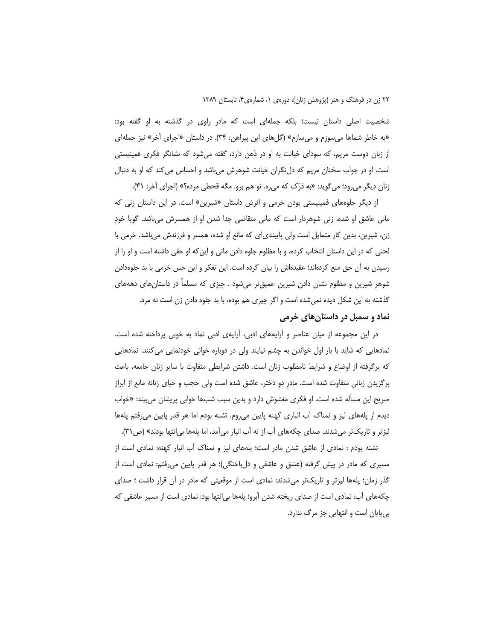شخصیت اصلی داستان نیست؛ بلکه جملهای است که مادر راوی در گذشته به او گفته بود: «به خاطر شماها میسوزم و میسازم» (گلهای این پیراهن: ۳۴). در داستان «اجرای آخر» نیز جملهای از زبان دوست مریم، که سودای خیانت به او در ذهن دارد، گفته می شود که نشانگر فکری فمینیستی است. او در جواب سخنان مریم که دل نگران خیانت شوهرش می باشد و احساس می کند که او به دنبال زنان دیگر میرود؛ میگوید: «به دَرَک که میره. تو هم برو. مگه قحطی مرده؟» (اجرای آخر: ۴۱).

از دیگر جلوههای فمینیستی بودن خرمی و اثرش داستان «شیرین» است. در این داستان زنی که مانی عاشق او شده، زنی شوهردار است که مانی متقاضی جدا شدن او از همسرش میباشد. گویا خود زن، شیرین، بدین کار متمایل است ولی پایبندی|ی که مانع او شده، همسر و فرزندش میباشد. خرمی با لحنی که در این داستان انتخاب کرده، و با مظلوم جلوه دادن مانی و این که او حقی داشته است و او را از رسیدن به آن حق منع کردهاند؛ عقیدهاش را بیان کرده است. این تفکر و این حس خرمی با بد جلوهدادن شوهر شیرین و مظلوم نشان دادن شیرین عمیقتر میشود . چیزی که مسلماً در داستان های دهههای گذشته به این شکل دیده نمیشده است و اگر چیزی هم بوده، با بد جلوه دادن زن است نه مرد. نماد و سمبل در داستان های خرمی

در این مجموعه از میان عناصر و آرایههای ادبی، آرایهی ادبی نماد به خوبی پرداخته شده است. نمادهایی که شاید با بار اول خواندن به چشم نیایند ولی در دوباره خوانی خودنمایی میکنند. نمادهایی که برگرفته از اوضاع و شرایط نامطلوب زنان است. داشتن شرایطی متفاوت با سایر زنان جامعه، باعث برگزیدن زبانی متفاوت شده است. مادر دو دختر، عاشق شده است ولی حجب و حیای زنانه مانع از ابراز صریح این مسأله شده است. او فکری مغشوش دارد و بدین سبب شبها خوابی پریشان میبیند: «خواب دیدم از پلههای لیز و نمناک آب انباری کهنه پایین می<sub>(</sub>وم. تشنه بودم اما هر قدر پایین می(فتم پلهها لیزتر و تاریکتر میشدند. صدای چکههای آب از ته آب انبار میآمد، اما پلهها بی|نتها بودند» (ص٣١).

تشنه بودم : نمادی از عاشق شدن مادر است؛ یلههای لیز و نمناک آب انبار کهنه: نمادی است از مسیری که مادر در پیش گرفته (عشق و عاشقی و دلباختگی)؛ هر قدر پایین میرفتم: نمادی است از گذر زمان؛ پلهها لیزتر و تاریکتر میشدند: نمادی است از موقعیتی که مادر در آن قرار داشت ؛ صدای چکههای آب: نمادی است از صدای ریخته شدن آبرو؛ پلهها بی|نتها بود: نمادی است از مسیر عاشقی که بي پايان است و انتهايي جز مرگ ندارد.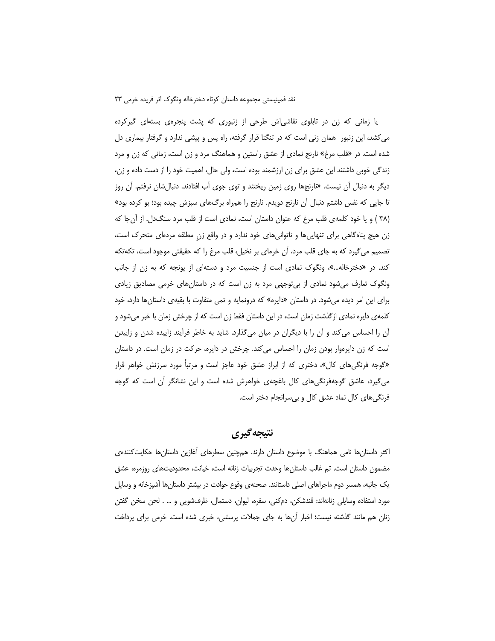یا زمانی که زن در تابلوی نقاشی ش طرحی از زنبوری که پشت پنجرهی بستهای گیرکرده می کشد، این زنبور همان زنی است که در تنگنا قرار گرفته، راه پس و پیشی ندارد و گرفتار بیماری دل شده است. در «قلب مرغ» نارنج نمادی از عشق راستین و هماهنگ مرد و زن است، زمانی که زن و مرد زندگی خوبی داشتند این عشق برای زن ارزشمند بوده است، ولی حال، اهمیت خود را از دست داده و زن، دیگر به دنبال آن نیست. «نارنجها روی زمین ریختند و توی جوی آب افتادند. دنبالشان نرفتم. آن روز تا جایی که نفس داشتم دنبال آن نارنج دویدم. نارنج را همراه برگهای سبزش چیده بود؛ بو کرده بود» (۳۸ ) و یا خود کلمه ی قلب مرغ که عنوان داستان است، نمادی است از قلب مرد سنگ دل. از آن جا که زن هیچ پناهگاهی برای تنهاییها و ناتوانیهای خود ندارد و در واقع زن مطلقه مردهای متحرک است، تصمیم میگیرد که به جای قلب مرد، آن خرمای بر نخیل، قلب مرغ را که حقیقتی موجود است، تکهتکه کند. در «دخترخاله...»، ونگوک نمادی است از جنسیت مرد و دستهای از یونجه که به زن از جانب ونگوک تعارف میشود نمادی از بی توجهی مرد به زن است که در داستانهای خرمی مصادیق زیادی برای این امر دیده میشود. در داستان «دایره» که درونمایه و تمی متفاوت با بقیهی داستانها دارد، خود کلمهی دایره نمادی ازگذشت زمان است، در این داستان فقط زن است که از چرخش زمان با خبر میشود و آن را احساس می کند و آن را با دیگران در میان میگذارد. شاید به خاطر فرآیند زاییده شدن و زاییدن است که زن دایرهوار بودن زمان را احساس می کند. چرخش در دایره، حرکت در زمان است. در داستان «گوجه فرنگیهای کال»، دختری که از ابراز عشق خود عاجز است و مرتباً مورد سرزنش خواهر قرار می گیرد، عاشق گوجهفرنگیهای کال باغچهی خواهرش شده است و این نشانگر آن است که گوجه فرنگیهای کال نماد عشق کال و بی سرانجام دختر است.

# نتيجه گيري

اکثر داستانها نامی هماهنگ با موضوع داستان دارند. همچنین سطرهای آغازین داستانها حکایتکنندهی مضمون داستان است. تم غالب داستانها وحدت تجربیات زنانه است، خیانت، محدودیتهای روزمره، عشق یک جانبه، همسر دوم ماجراهای اصلی داستانند. صحنهی وقوع حوادث در بیشتر داستانها آشپزخانه و وسایل مورد استفاده وسایلی زنانهاند: قندشکن، دمکنی، سفره، لیوان، دستمال، ظرفشویی و … . لحن سخن گفتن زنان هم مانند گذشته نیست؛ اخبار آنها به جای جملات پرسشی، خبری شده است. خرمی برای پرداخت